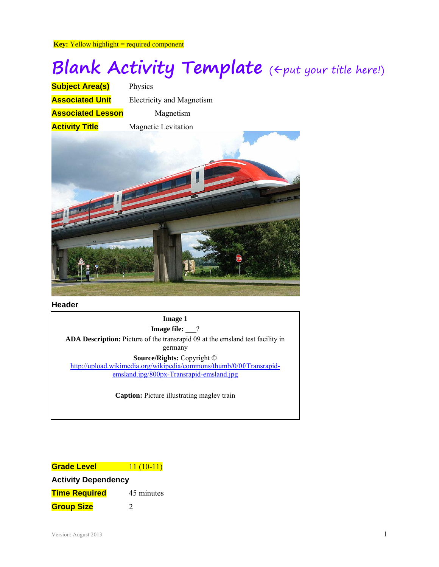**Key:** Yellow highlight = required component

# **Blank Activity Template** ( $\Leftarrow$ put your title here!)

| <b>Subject Area(s)</b>   | Physics                          |
|--------------------------|----------------------------------|
| <b>Associated Unit</b>   | <b>Electricity and Magnetism</b> |
| <b>Associated Lesson</b> | Magnetism                        |
| <b>Activity Title</b>    | <b>Magnetic Levitation</b>       |
|                          |                                  |



**Header**

**Image 1 Image file:** \_\_? **ADA Description:** Picture of the transrapid 09 at the emsland test facility in germany **Source/Rights:** Copyright © http://upload.wikimedia.org/wikipedia/commons/thumb/0/0f/Transrapidemsland.jpg/800px-Transrapid-emsland.jpg

**Caption:** Picture illustrating maglev train

| <b>Grade Level</b>         | $11(10-11)$ |  |  |
|----------------------------|-------------|--|--|
| <b>Activity Dependency</b> |             |  |  |
| <b>Time Required</b>       | 45 minutes  |  |  |
| <b>Group Size</b>          | 7           |  |  |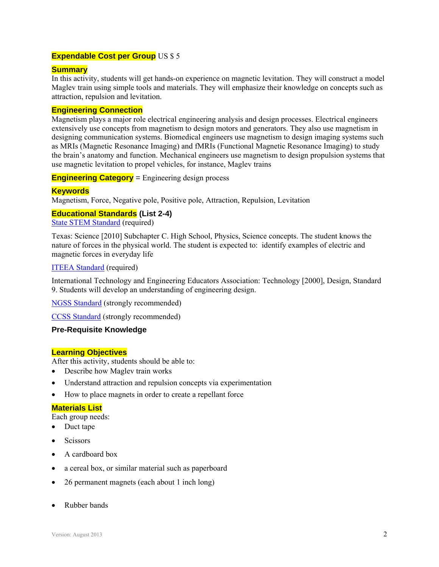## **Expendable Cost per Group** US \$ 5

## **Summary**

In this activity, students will get hands-on experience on magnetic levitation. They will construct a model Maglev train using simple tools and materials. They will emphasize their knowledge on concepts such as attraction, repulsion and levitation.

#### **Engineering Connection**

Magnetism plays a major role electrical engineering analysis and design processes. Electrical engineers extensively use concepts from magnetism to design motors and generators. They also use magnetism in designing communication systems. Biomedical engineers use magnetism to design imaging systems such as MRIs (Magnetic Resonance Imaging) and fMRIs (Functional Magnetic Resonance Imaging) to study the brain's anatomy and function. Mechanical engineers use magnetism to design propulsion systems that use magnetic levitation to propel vehicles, for instance, Maglev trains

**Engineering Category** = Engineering design process

#### **Keywords**

Magnetism, Force, Negative pole, Positive pole, Attraction, Repulsion, Levitation

## **Educational Standards (List 2-4)**

State STEM Standard (required)

Texas: Science [2010] Subchapter C. High School, Physics, Science concepts. The student knows the nature of forces in the physical world. The student is expected to: identify examples of electric and magnetic forces in everyday life

#### ITEEA Standard (required)

International Technology and Engineering Educators Association: Technology [2000], Design, Standard 9. Students will develop an understanding of engineering design.

NGSS Standard (strongly recommended)

CCSS Standard (strongly recommended)

#### **Pre-Requisite Knowledge**

#### **Learning Objectives**

After this activity, students should be able to:

- Describe how Maglev train works
- Understand attraction and repulsion concepts via experimentation
- How to place magnets in order to create a repellant force

#### **Materials List**

Each group needs:

- Duct tape
- **Scissors**
- A cardboard box
- a cereal box, or similar material such as paperboard
- 26 permanent magnets (each about 1 inch long)
- Rubber bands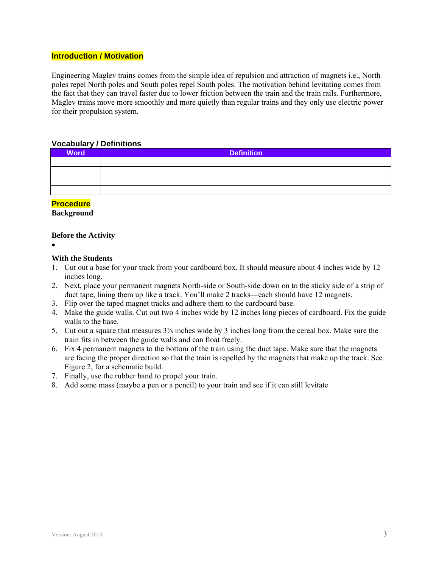## **Introduction / Motivation**

Engineering Maglev trains comes from the simple idea of repulsion and attraction of magnets i.e., North poles repel North poles and South poles repel South poles. The motivation behind levitating comes from the fact that they can travel faster due to lower friction between the train and the train rails. Furthermore, Maglev trains move more smoothly and more quietly than regular trains and they only use electric power for their propulsion system.

#### **Vocabulary / Definitions**

| <b>Word</b> | <b>Definition</b> |
|-------------|-------------------|
|             |                   |
|             |                   |
|             |                   |
|             |                   |

## **Procedure**

#### **Background**

#### **Before the Activity**

 $\bullet$ 

#### **With the Students**

- 1. Cut out a base for your track from your cardboard box. It should measure about 4 inches wide by 12 inches long.
- 2. Next, place your permanent magnets North-side or South-side down on to the sticky side of a strip of duct tape, lining them up like a track. You'll make 2 tracks—each should have 12 magnets.
- 3. Flip over the taped magnet tracks and adhere them to the cardboard base.
- 4. Make the guide walls. Cut out two 4 inches wide by 12 inches long pieces of cardboard. Fix the guide walls to the base.
- 5. Cut out a square that measures  $3\frac{7}{8}$  inches wide by 3 inches long from the cereal box. Make sure the train fits in between the guide walls and can float freely.
- 6. Fix 4 permanent magnets to the bottom of the train using the duct tape. Make sure that the magnets are facing the proper direction so that the train is repelled by the magnets that make up the track. See Figure 2, for a schematic build.
- 7. Finally, use the rubber band to propel your train.
- 8. Add some mass (maybe a pen or a pencil) to your train and see if it can still levitate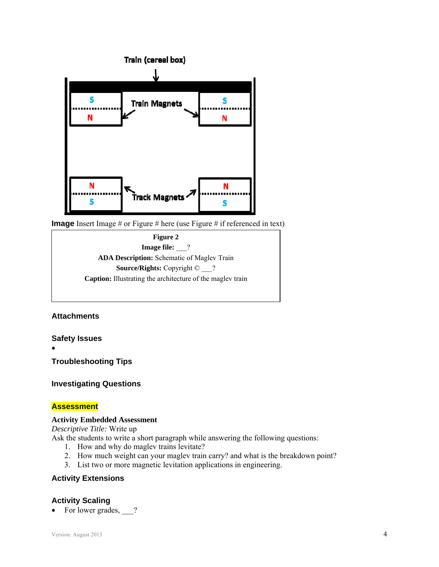

**Image** Insert Image # or Figure # here (use Figure # if referenced in text)



## **Attachments**

**Safety Issues** 

 $\bullet$ 

**Troubleshooting Tips** 

**Investigating Questions** 

## **Assessment**

#### **Activity Embedded Assessment**

*Descriptive Title:* Write up

Ask the students to write a short paragraph while answering the following questions:

- 1. How and why do maglev trains levitate?
- 2. How much weight can your maglev train carry? and what is the breakdown point?
- 3. List two or more magnetic levitation applications in engineering.

## **Activity Extensions**

## **Activity Scaling**

• For lower grades, ?